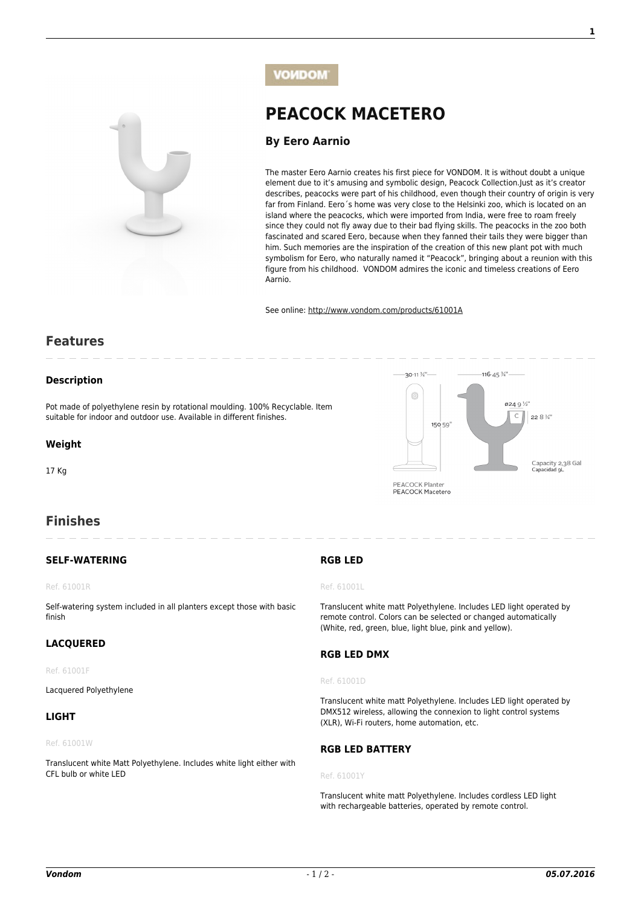

**[By Eero Aarnio](http://www.vondom.com/designers/eero-aarnio/)**

The master Eero Aarnio creates his first piece for VONDOM. It is without doubt a unique element due to it's amusing and symbolic design, Peacock Collection.Just as it's creator describes, peacocks were part of his childhood, even though their country of origin is very far from Finland. Eero´s home was very close to the Helsinki zoo, which is located on an island where the peacocks, which were imported from India, were free to roam freely since they could not fly away due to their bad flying skills. The peacocks in the zoo both fascinated and scared Eero, because when they fanned their tails they were bigger than him. Such memories are the inspiration of the creation of this new plant pot with much symbolism for Eero, who naturally named it "Peacock", bringing about a reunion with this figure from his childhood. VONDOM admires the iconic and timeless creations of Eero Aarnio.

 $20 - 11 \frac{3}{4}$ 

6

PEACOCK Planter PEACOCK Macetero

150 59

 $-116 - 45\frac{3}{4}$ 

 $8240\%$ 

 $\overline{C}$ 

22  $8\frac{3}{4}$ 

Capacity 2,38 Gal Lo behiaene

See online: [http://www.vondom.com/products/61001A](http://www.vondom.com/products/?product=61001A)

**[PEACOCK MACETERO](http://www.vondom.com/products/?product=61001A)**

# **Features**

## **Description**

Pot made of polyethylene resin by rotational moulding. 100% Recyclable. Item suitable for indoor and outdoor use. Available in different finishes.

# **Weight**

17 Kg

# **Finishes**

# **SELF-WATERING**

#### Ref. 61001R

Self-watering system included in all planters except those with basic finish

# **LACQUERED**

#### Ref. 61001F

Lacquered Polyethylene

### **LIGHT**

#### Ref. 61001W

Translucent white Matt Polyethylene. Includes white light either with CFL bulb or white LED

# **RGB LED**

#### Ref. 61001L

Translucent white matt Polyethylene. Includes LED light operated by remote control. Colors can be selected or changed automatically (White, red, green, blue, light blue, pink and yellow).

#### **RGB LED DMX**

#### Ref. 61001D

Translucent white matt Polyethylene. Includes LED light operated by DMX512 wireless, allowing the connexion to light control systems (XLR), Wi-Fi routers, home automation, etc.

## **RGB LED BATTERY**

#### Ref. 61001Y

Translucent white matt Polyethylene. Includes cordless LED light with rechargeable batteries, operated by remote control.